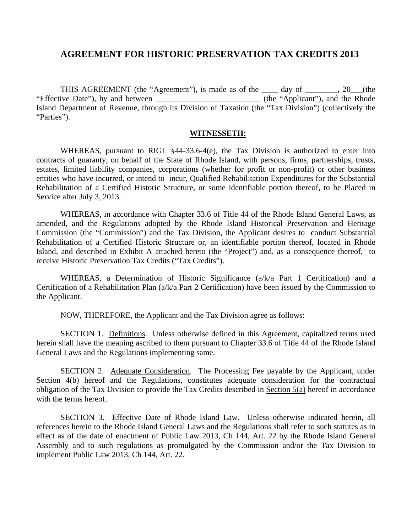# **AGREEMENT FOR HISTORIC PRESERVATION TAX CREDITS 2013**

THIS AGREEMENT (the "Agreement"), is made as of the \_\_\_\_ day of \_\_\_\_\_\_\_\_, 20\_\_\_(the "Effective Date"), by and between \_\_\_\_\_\_\_\_\_\_\_\_\_\_\_\_\_\_\_\_\_\_\_\_\_\_\_\_\_\_\_\_ (the "Applicant"), and the Rhode Island Department of Revenue, through its Division of Taxation (the "Tax Division") (collectively the "Parties").

#### **WITNESSETH:**

WHEREAS, pursuant to RIGL §44-33.6-4(e), the Tax Division is authorized to enter into contracts of guaranty, on behalf of the State of Rhode Island, with persons, firms, partnerships, trusts, estates, limited liability companies, corporations (whether for profit or non-profit) or other business entities who have incurred, or intend to incur, Qualified Rehabilitation Expenditures for the Substantial Rehabilitation of a Certified Historic Structure, or some identifiable portion thereof, to be Placed in Service after July 3, 2013.

WHEREAS, in accordance with Chapter 33.6 of Title 44 of the Rhode Island General Laws, as amended, and the Regulations adopted by the Rhode Island Historical Preservation and Heritage Commission (the "Commission") and the Tax Division, the Applicant desires to conduct Substantial Rehabilitation of a Certified Historic Structure or, an identifiable portion thereof, located in Rhode Island, and described in Exhibit A attached hereto (the "Project") and, as a consequence thereof, to receive Historic Preservation Tax Credits ("Tax Credits").

WHEREAS, a Determination of Historic Significance (a/k/a Part 1 Certification) and a Certification of a Rehabilitation Plan (a/k/a Part 2 Certification) have been issued by the Commission to the Applicant.

NOW, THEREFORE, the Applicant and the Tax Division agree as follows:

SECTION 1. Definitions. Unless otherwise defined in this Agreement, capitalized terms used herein shall have the meaning ascribed to them pursuant to Chapter 33.6 of Title 44 of the Rhode Island General Laws and the Regulations implementing same.

SECTION 2. Adequate Consideration. The Processing Fee payable by the Applicant, under Section 4(b) hereof and the Regulations, constitutes adequate consideration for the contractual obligation of the Tax Division to provide the Tax Credits described in Section 5(a) hereof in accordance with the terms hereof.

SECTION 3. Effective Date of Rhode Island Law. Unless otherwise indicated herein, all references herein to the Rhode Island General Laws and the Regulations shall refer to such statutes as in effect as of the date of enactment of Public Law 2013, Ch 144, Art. 22 by the Rhode Island General Assembly and to such regulations as promulgated by the Commission and/or the Tax Division to implement Public Law 2013, Ch 144, Art. 22.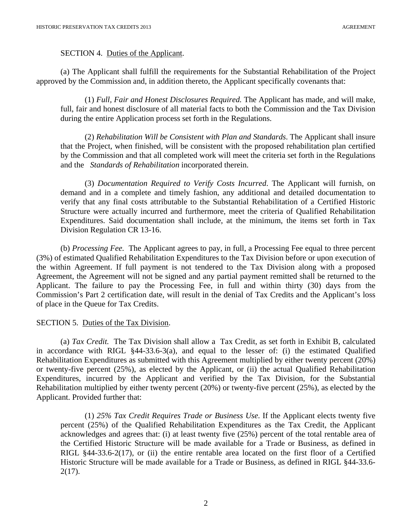SECTION 4. Duties of the Applicant.

(a) The Applicant shall fulfill the requirements for the Substantial Rehabilitation of the Project approved by the Commission and, in addition thereto, the Applicant specifically covenants that:

(1) *Full, Fair and Honest Disclosures Required.* The Applicant has made, and will make, full, fair and honest disclosure of all material facts to both the Commission and the Tax Division during the entire Application process set forth in the Regulations.

(2) *Rehabilitation Will be Consistent with Plan and Standards*. The Applicant shall insure that the Project, when finished, will be consistent with the proposed rehabilitation plan certified by the Commission and that all completed work will meet the criteria set forth in the Regulations and the *Standards of Rehabilitation* incorporated therein.

(3) *Documentation Required to Verify Costs Incurred*. The Applicant will furnish, on demand and in a complete and timely fashion, any additional and detailed documentation to verify that any final costs attributable to the Substantial Rehabilitation of a Certified Historic Structure were actually incurred and furthermore, meet the criteria of Qualified Rehabilitation Expenditures. Said documentation shall include, at the minimum, the items set forth in Tax Division Regulation CR 13-16.

 (b) *Processing Fee.* The Applicant agrees to pay, in full, a Processing Fee equal to three percent (3%) of estimated Qualified Rehabilitation Expenditures to the Tax Division before or upon execution of the within Agreement. If full payment is not tendered to the Tax Division along with a proposed Agreement, the Agreement will not be signed and any partial payment remitted shall be returned to the Applicant. The failure to pay the Processing Fee, in full and within thirty (30) days from the Commission's Part 2 certification date, will result in the denial of Tax Credits and the Applicant's loss of place in the Queue for Tax Credits.

## SECTION 5. Duties of the Tax Division.

 (a) *Tax Credit.* The Tax Division shall allow a Tax Credit, as set forth in Exhibit B, calculated in accordance with RIGL §44-33.6-3(a), and equal to the lesser of: (i) the estimated Qualified Rehabilitation Expenditures as submitted with this Agreement multiplied by either twenty percent (20%) or twenty-five percent (25%), as elected by the Applicant, or (ii) the actual Qualified Rehabilitation Expenditures, incurred by the Applicant and verified by the Tax Division, for the Substantial Rehabilitation multiplied by either twenty percent (20%) or twenty-five percent (25%), as elected by the Applicant. Provided further that:

(1) *25% Tax Credit Requires Trade or Business Use*. If the Applicant elects twenty five percent (25%) of the Qualified Rehabilitation Expenditures as the Tax Credit, the Applicant acknowledges and agrees that: (i) at least twenty five (25%) percent of the total rentable area of the Certified Historic Structure will be made available for a Trade or Business, as defined in RIGL §44-33.6-2(17), or (ii) the entire rentable area located on the first floor of a Certified Historic Structure will be made available for a Trade or Business, as defined in RIGL §44-33.6-  $2(17)$ .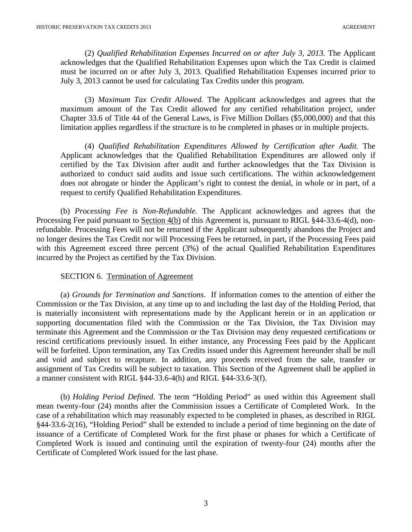(2) *Qualified Rehabilitation Expenses Incurred on or after July 3, 2013.* The Applicant acknowledges that the Qualified Rehabilitation Expenses upon which the Tax Credit is claimed must be incurred on or after July 3, 2013. Qualified Rehabilitation Expenses incurred prior to July 3, 2013 cannot be used for calculating Tax Credits under this program.

(3) *Maximum Tax Credit Allowed.* The Applicant acknowledges and agrees that the maximum amount of the Tax Credit allowed for any certified rehabilitation project, under Chapter 33.6 of Title 44 of the General Laws, is Five Million Dollars (\$5,000,000) and that this limitation applies regardless if the structure is to be completed in phases or in multiple projects.

(4) *Qualified Rehabilitation Expenditures Allowed by Certification after Audit.* The Applicant acknowledges that the Qualified Rehabilitation Expenditures are allowed only if certified by the Tax Division after audit and further acknowledges that the Tax Division is authorized to conduct said audits and issue such certifications. The within acknowledgement does not abrogate or hinder the Applicant's right to contest the denial, in whole or in part, of a request to certify Qualified Rehabilitation Expenditures.

(b) *Processing Fee is Non-Refundable.* The Applicant acknowledges and agrees that the Processing Fee paid pursuant to Section 4(b) of this Agreement is, pursuant to RIGL §44-33.6-4(d), nonrefundable. Processing Fees will not be returned if the Applicant subsequently abandons the Project and no longer desires the Tax Credit nor will Processing Fees be returned, in part, if the Processing Fees paid with this Agreement exceed three percent (3%) of the actual Qualified Rehabilitation Expenditures incurred by the Project as certified by the Tax Division.

## SECTION 6. Termination of Agreement

(a) *Grounds for Termination and Sanctions*. If information comes to the attention of either the Commission or the Tax Division, at any time up to and including the last day of the Holding Period, that is materially inconsistent with representations made by the Applicant herein or in an application or supporting documentation filed with the Commission or the Tax Division, the Tax Division may terminate this Agreement and the Commission or the Tax Division may deny requested certifications or rescind certifications previously issued. In either instance, any Processing Fees paid by the Applicant will be forfeited. Upon termination, any Tax Credits issued under this Agreement hereunder shall be null and void and subject to recapture. In addition, any proceeds received from the sale, transfer or assignment of Tax Credits will be subject to taxation. This Section of the Agreement shall be applied in a manner consistent with RIGL §44-33.6-4(h) and RIGL §44-33.6-3(f).

(b) *Holding Period Defined*. The term "Holding Period" as used within this Agreement shall mean twenty-four (24) months after the Commission issues a Certificate of Completed Work. In the case of a rehabilitation which may reasonably expected to be completed in phases, as described in RIGL §44-33.6-2(16), "Holding Period" shall be extended to include a period of time beginning on the date of issuance of a Certificate of Completed Work for the first phase or phases for which a Certificate of Completed Work is issued and continuing until the expiration of twenty-four (24) months after the Certificate of Completed Work issued for the last phase.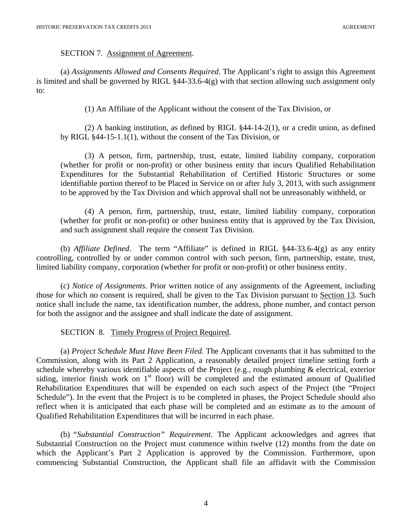#### SECTION 7. Assignment of Agreement.

(a) *Assignments Allowed and Consents Required*. The Applicant's right to assign this Agreement is limited and shall be governed by RIGL §44-33.6-4(g) with that section allowing such assignment only to:

(1) An Affiliate of the Applicant without the consent of the Tax Division, or

(2) A banking institution, as defined by RIGL  $§44-14-2(1)$ , or a credit union, as defined by RIGL §44-15-1.1(1), without the consent of the Tax Division, or

(3) A person, firm, partnership, trust, estate, limited liability company, corporation (whether for profit or non-profit) or other business entity that incurs Qualified Rehabilitation Expenditures for the Substantial Rehabilitation of Certified Historic Structures or some identifiable portion thereof to be Placed in Service on or after July 3, 2013, with such assignment to be approved by the Tax Division and which approval shall not be unreasonably withheld, or

(4) A person, firm, partnership, trust, estate, limited liability company, corporation (whether for profit or non-profit) or other business entity that is approved by the Tax Division, and such assignment shall require the consent Tax Division.

(b) *Affiliate Defined*. The term "Affiliate" is defined in RIGL §44-33.6-4(g) as any entity controlling, controlled by or under common control with such person, firm, partnership, estate, trust, limited liability company, corporation (whether for profit or non-profit) or other business entity.

(c) *Notice of Assignments*. Prior written notice of any assignments of the Agreement, including those for which no consent is required, shall be given to the Tax Division pursuant to Section 13. Such notice shall include the name, tax identification number, the address, phone number, and contact person for both the assignor and the assignee and shall indicate the date of assignment.

## SECTION 8. Timely Progress of Project Required.

(a) *Project Schedule Must Have Been Filed.* The Applicant covenants that it has submitted to the Commission, along with its Part 2 Application, a reasonably detailed project timeline setting forth a schedule whereby various identifiable aspects of the Project (e.g., rough plumbing & electrical, exterior siding, interior finish work on  $1<sup>st</sup>$  floor) will be completed and the estimated amount of Qualified Rehabilitation Expenditures that will be expended on each such aspect of the Project (the "Project Schedule"). In the event that the Project is to be completed in phases, the Project Schedule should also reflect when it is anticipated that each phase will be completed and an estimate as to the amount of Qualified Rehabilitation Expenditures that will be incurred in each phase.

(b) *"Substantial Construction" Requirement*. The Applicant acknowledges and agrees that Substantial Construction on the Project must commence within twelve (12) months from the date on which the Applicant's Part 2 Application is approved by the Commission. Furthermore, upon commencing Substantial Construction, the Applicant shall file an affidavit with the Commission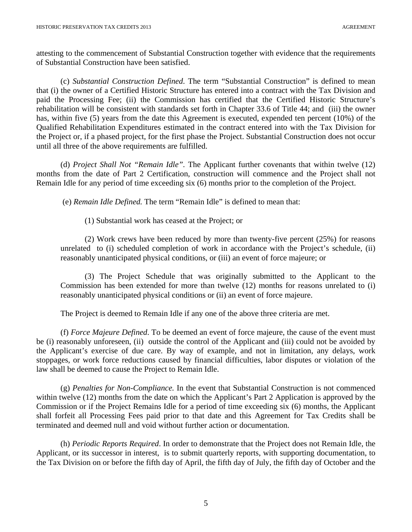attesting to the commencement of Substantial Construction together with evidence that the requirements of Substantial Construction have been satisfied.

(c) *Substantial Construction Defined*. The term "Substantial Construction" is defined to mean that (i) the owner of a Certified Historic Structure has entered into a contract with the Tax Division and paid the Processing Fee; (ii) the Commission has certified that the Certified Historic Structure's rehabilitation will be consistent with standards set forth in Chapter 33.6 of Title 44; and (iii) the owner has, within five (5) years from the date this Agreement is executed, expended ten percent (10%) of the Qualified Rehabilitation Expenditures estimated in the contract entered into with the Tax Division for the Project or, if a phased project, for the first phase the Project. Substantial Construction does not occur until all three of the above requirements are fulfilled.

(d) *Project Shall Not "Remain Idle".* The Applicant further covenants that within twelve (12) months from the date of Part 2 Certification, construction will commence and the Project shall not Remain Idle for any period of time exceeding six (6) months prior to the completion of the Project.

(e) *Remain Idle Defined.* The term "Remain Idle" is defined to mean that:

(1) Substantial work has ceased at the Project; or

(2) Work crews have been reduced by more than twenty-five percent (25%) for reasons unrelated to (i) scheduled completion of work in accordance with the Project's schedule, (ii) reasonably unanticipated physical conditions, or (iii) an event of force majeure; or

(3) The Project Schedule that was originally submitted to the Applicant to the Commission has been extended for more than twelve (12) months for reasons unrelated to (i) reasonably unanticipated physical conditions or (ii) an event of force majeure.

The Project is deemed to Remain Idle if any one of the above three criteria are met.

(f) *Force Majeure Defined*. To be deemed an event of force majeure, the cause of the event must be (i) reasonably unforeseen, (ii) outside the control of the Applicant and (iii) could not be avoided by the Applicant's exercise of due care. By way of example, and not in limitation, any delays, work stoppages, or work force reductions caused by financial difficulties, labor disputes or violation of the law shall be deemed to cause the Project to Remain Idle.

 (g) *Penalties for Non-Compliance.* In the event that Substantial Construction is not commenced within twelve (12) months from the date on which the Applicant's Part 2 Application is approved by the Commission or if the Project Remains Idle for a period of time exceeding six (6) months, the Applicant shall forfeit all Processing Fees paid prior to that date and this Agreement for Tax Credits shall be terminated and deemed null and void without further action or documentation.

 (h) *Periodic Reports Required*. In order to demonstrate that the Project does not Remain Idle, the Applicant, or its successor in interest, is to submit quarterly reports, with supporting documentation, to the Tax Division on or before the fifth day of April, the fifth day of July, the fifth day of October and the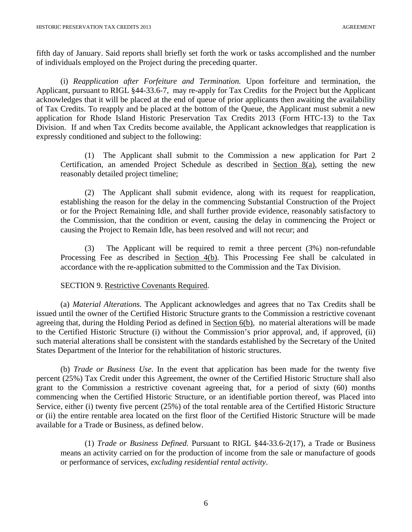fifth day of January. Said reports shall briefly set forth the work or tasks accomplished and the number of individuals employed on the Project during the preceding quarter.

 (i) *Reapplication after Forfeiture and Termination.* Upon forfeiture and termination, the Applicant, pursuant to RIGL §44-33.6-7, may re-apply for Tax Credits for the Project but the Applicant acknowledges that it will be placed at the end of queue of prior applicants then awaiting the availability of Tax Credits. To reapply and be placed at the bottom of the Queue, the Applicant must submit a new application for Rhode Island Historic Preservation Tax Credits 2013 (Form HTC-13) to the Tax Division. If and when Tax Credits become available, the Applicant acknowledges that reapplication is expressly conditioned and subject to the following:

(1) The Applicant shall submit to the Commission a new application for Part 2 Certification, an amended Project Schedule as described in Section 8(a), setting the new reasonably detailed project timeline;

(2) The Applicant shall submit evidence, along with its request for reapplication, establishing the reason for the delay in the commencing Substantial Construction of the Project or for the Project Remaining Idle, and shall further provide evidence, reasonably satisfactory to the Commission, that the condition or event, causing the delay in commencing the Project or causing the Project to Remain Idle, has been resolved and will not recur; and

(3) The Applicant will be required to remit a three percent (3%) non-refundable Processing Fee as described in Section 4(b). This Processing Fee shall be calculated in accordance with the re-application submitted to the Commission and the Tax Division.

## SECTION 9. Restrictive Covenants Required.

(a) *Material Alterations.* The Applicant acknowledges and agrees that no Tax Credits shall be issued until the owner of the Certified Historic Structure grants to the Commission a restrictive covenant agreeing that, during the Holding Period as defined in Section 6(b), no material alterations will be made to the Certified Historic Structure (i) without the Commission's prior approval, and, if approved, (ii) such material alterations shall be consistent with the standards established by the Secretary of the United States Department of the Interior for the rehabilitation of historic structures.

(b) *Trade or Business Use*. In the event that application has been made for the twenty five percent (25%) Tax Credit under this Agreement, the owner of the Certified Historic Structure shall also grant to the Commission a restrictive covenant agreeing that, for a period of sixty (60) months commencing when the Certified Historic Structure, or an identifiable portion thereof, was Placed into Service, either (i) twenty five percent (25%) of the total rentable area of the Certified Historic Structure or (ii) the entire rentable area located on the first floor of the Certified Historic Structure will be made available for a Trade or Business, as defined below.

(1) *Trade or Business Defined.* Pursuant to RIGL §44-33.6-2(17), a Trade or Business means an activity carried on for the production of income from the sale or manufacture of goods or performance of services, *excluding residential rental activity*.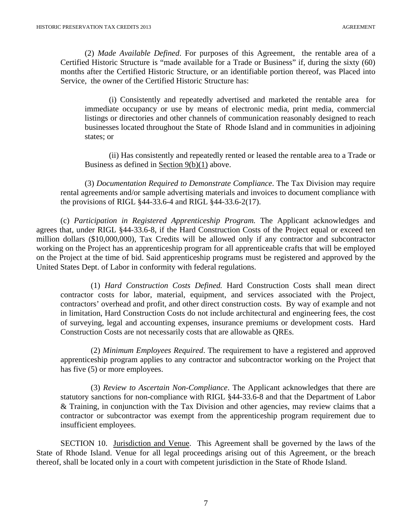(2) *Made Available Defined*. For purposes of this Agreement, the rentable area of a Certified Historic Structure is "made available for a Trade or Business" if, during the sixty (60) months after the Certified Historic Structure, or an identifiable portion thereof, was Placed into Service, the owner of the Certified Historic Structure has:

(i) Consistently and repeatedly advertised and marketed the rentable area for immediate occupancy or use by means of electronic media, print media, commercial listings or directories and other channels of communication reasonably designed to reach businesses located throughout the State of Rhode Island and in communities in adjoining states; or

(ii) Has consistently and repeatedly rented or leased the rentable area to a Trade or Business as defined in Section 9(b)(1) above.

(3) *Documentation Required to Demonstrate Compliance*. The Tax Division may require rental agreements and/or sample advertising materials and invoices to document compliance with the provisions of RIGL §44-33.6-4 and RIGL §44-33.6-2(17).

(c) *Participation in Registered Apprenticeship Program.* The Applicant acknowledges and agrees that, under RIGL §44-33.6-8, if the Hard Construction Costs of the Project equal or exceed ten million dollars (\$10,000,000), Tax Credits will be allowed only if any contractor and subcontractor working on the Project has an apprenticeship program for all apprenticeable crafts that will be employed on the Project at the time of bid. Said apprenticeship programs must be registered and approved by the United States Dept. of Labor in conformity with federal regulations.

(1) *Hard Construction Costs Defined.* Hard Construction Costs shall mean direct contractor costs for labor, material, equipment, and services associated with the Project, contractors' overhead and profit, and other direct construction costs. By way of example and not in limitation, Hard Construction Costs do not include architectural and engineering fees, the cost of surveying, legal and accounting expenses, insurance premiums or development costs. Hard Construction Costs are not necessarily costs that are allowable as QREs.

(2) *Minimum Employees Required*. The requirement to have a registered and approved apprenticeship program applies to any contractor and subcontractor working on the Project that has five (5) or more employees.

(3) *Review to Ascertain Non-Compliance*. The Applicant acknowledges that there are statutory sanctions for non-compliance with RIGL §44-33.6-8 and that the Department of Labor & Training, in conjunction with the Tax Division and other agencies, may review claims that a contractor or subcontractor was exempt from the apprenticeship program requirement due to insufficient employees.

SECTION 10. Jurisdiction and Venue. This Agreement shall be governed by the laws of the State of Rhode Island. Venue for all legal proceedings arising out of this Agreement, or the breach thereof, shall be located only in a court with competent jurisdiction in the State of Rhode Island.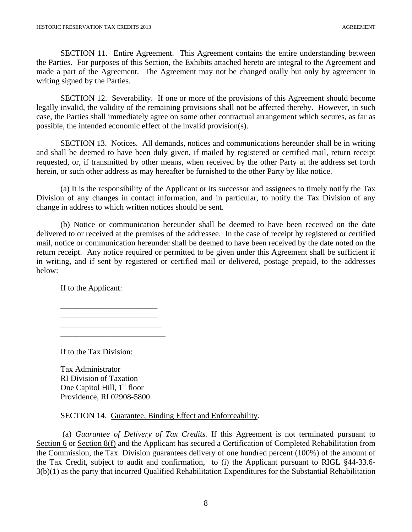SECTION 11. Entire Agreement. This Agreement contains the entire understanding between the Parties. For purposes of this Section, the Exhibits attached hereto are integral to the Agreement and made a part of the Agreement. The Agreement may not be changed orally but only by agreement in writing signed by the Parties.

SECTION 12. Severability. If one or more of the provisions of this Agreement should become legally invalid, the validity of the remaining provisions shall not be affected thereby. However, in such case, the Parties shall immediately agree on some other contractual arrangement which secures, as far as possible, the intended economic effect of the invalid provision(s).

SECTION 13. Notices. All demands, notices and communications hereunder shall be in writing and shall be deemed to have been duly given, if mailed by registered or certified mail, return receipt requested, or, if transmitted by other means, when received by the other Party at the address set forth herein, or such other address as may hereafter be furnished to the other Party by like notice.

(a) It is the responsibility of the Applicant or its successor and assignees to timely notify the Tax Division of any changes in contact information, and in particular, to notify the Tax Division of any change in address to which written notices should be sent.

(b) Notice or communication hereunder shall be deemed to have been received on the date delivered to or received at the premises of the addressee. In the case of receipt by registered or certified mail, notice or communication hereunder shall be deemed to have been received by the date noted on the return receipt. Any notice required or permitted to be given under this Agreement shall be sufficient if in writing, and if sent by registered or certified mail or delivered, postage prepaid, to the addresses below:

If to the Applicant:

If to the Tax Division:

Tax Administrator RI Division of Taxation One Capitol Hill,  $1<sup>st</sup>$  floor Providence, RI 02908-5800

\_\_\_\_\_\_\_\_\_\_\_\_\_\_\_\_\_\_\_\_\_\_\_\_ \_\_\_\_\_\_\_\_\_\_\_\_\_\_\_\_\_\_\_\_\_\_\_\_ \_\_\_\_\_\_\_\_\_\_\_\_\_\_\_\_\_\_\_\_\_\_\_\_\_ \_\_\_\_\_\_\_\_\_\_\_\_\_\_\_\_\_\_\_\_\_\_\_\_\_\_

SECTION 14. Guarantee, Binding Effect and Enforceability.

 (a) *Guarantee of Delivery of Tax Credits.* If this Agreement is not terminated pursuant to Section 6 or Section 8(f) and the Applicant has secured a Certification of Completed Rehabilitation from the Commission, the Tax Division guarantees delivery of one hundred percent (100%) of the amount of the Tax Credit, subject to audit and confirmation, to (i) the Applicant pursuant to RIGL §44-33.6- 3(b)(1) as the party that incurred Qualified Rehabilitation Expenditures for the Substantial Rehabilitation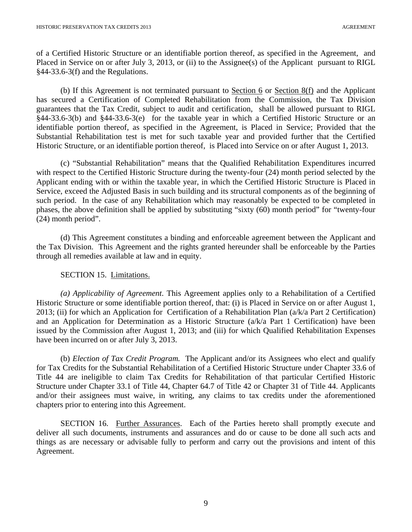of a Certified Historic Structure or an identifiable portion thereof, as specified in the Agreement, and Placed in Service on or after July 3, 2013, or (ii) to the Assignee(s) of the Applicant pursuant to RIGL §44-33.6-3(f) and the Regulations.

(b) If this Agreement is not terminated pursuant to Section 6 or Section 8(f) and the Applicant has secured a Certification of Completed Rehabilitation from the Commission, the Tax Division guarantees that the Tax Credit, subject to audit and certification, shall be allowed pursuant to RIGL §44-33.6-3(b) and §44-33.6-3(e) for the taxable year in which a Certified Historic Structure or an identifiable portion thereof, as specified in the Agreement, is Placed in Service; Provided that the Substantial Rehabilitation test is met for such taxable year and provided further that the Certified Historic Structure, or an identifiable portion thereof, is Placed into Service on or after August 1, 2013.

(c) "Substantial Rehabilitation" means that the Qualified Rehabilitation Expenditures incurred with respect to the Certified Historic Structure during the twenty-four (24) month period selected by the Applicant ending with or within the taxable year, in which the Certified Historic Structure is Placed in Service, exceed the Adjusted Basis in such building and its structural components as of the beginning of such period. In the case of any Rehabilitation which may reasonably be expected to be completed in phases, the above definition shall be applied by substituting "sixty (60) month period" for "twenty-four (24) month period".

(d) This Agreement constitutes a binding and enforceable agreement between the Applicant and the Tax Division. This Agreement and the rights granted hereunder shall be enforceable by the Parties through all remedies available at law and in equity.

## SECTION 15. Limitations.

*(a) Applicability of Agreement*. This Agreement applies only to a Rehabilitation of a Certified Historic Structure or some identifiable portion thereof, that: (i) is Placed in Service on or after August 1, 2013; (ii) for which an Application for Certification of a Rehabilitation Plan (a/k/a Part 2 Certification) and an Application for Determination as a Historic Structure (a/k/a Part 1 Certification) have been issued by the Commission after August 1, 2013; and (iii) for which Qualified Rehabilitation Expenses have been incurred on or after July 3, 2013.

(b) *Election of Tax Credit Program.* The Applicant and/or its Assignees who elect and qualify for Tax Credits for the Substantial Rehabilitation of a Certified Historic Structure under Chapter 33.6 of Title 44 are ineligible to claim Tax Credits for Rehabilitation of that particular Certified Historic Structure under Chapter 33.1 of Title 44, Chapter 64.7 of Title 42 or Chapter 31 of Title 44. Applicants and/or their assignees must waive, in writing, any claims to tax credits under the aforementioned chapters prior to entering into this Agreement.

 SECTION 16. Further Assurances. Each of the Parties hereto shall promptly execute and deliver all such documents, instruments and assurances and do or cause to be done all such acts and things as are necessary or advisable fully to perform and carry out the provisions and intent of this Agreement.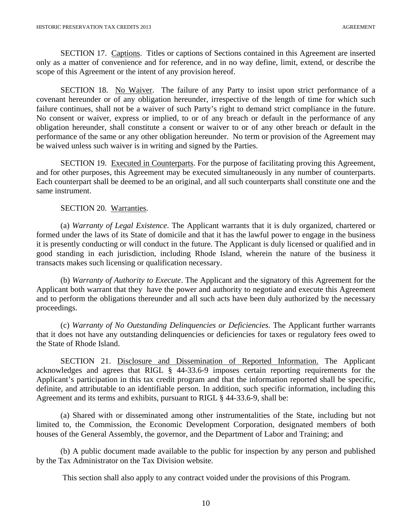SECTION 17. Captions. Titles or captions of Sections contained in this Agreement are inserted only as a matter of convenience and for reference, and in no way define, limit, extend, or describe the scope of this Agreement or the intent of any provision hereof.

 SECTION 18. No Waiver. The failure of any Party to insist upon strict performance of a covenant hereunder or of any obligation hereunder, irrespective of the length of time for which such failure continues, shall not be a waiver of such Party's right to demand strict compliance in the future. No consent or waiver, express or implied, to or of any breach or default in the performance of any obligation hereunder, shall constitute a consent or waiver to or of any other breach or default in the performance of the same or any other obligation hereunder. No term or provision of the Agreement may be waived unless such waiver is in writing and signed by the Parties.

SECTION 19. Executed in Counterparts. For the purpose of facilitating proving this Agreement, and for other purposes, this Agreement may be executed simultaneously in any number of counterparts. Each counterpart shall be deemed to be an original, and all such counterparts shall constitute one and the same instrument.

#### SECTION 20. Warranties.

(a) *Warranty of Legal Existence*. The Applicant warrants that it is duly organized, chartered or formed under the laws of its State of domicile and that it has the lawful power to engage in the business it is presently conducting or will conduct in the future. The Applicant is duly licensed or qualified and in good standing in each jurisdiction, including Rhode Island, wherein the nature of the business it transacts makes such licensing or qualification necessary.

(b) *Warranty of Authority to Execute*. The Applicant and the signatory of this Agreement for the Applicant both warrant that they have the power and authority to negotiate and execute this Agreement and to perform the obligations thereunder and all such acts have been duly authorized by the necessary proceedings.

(c) *Warranty of No Outstanding Delinquencies or Deficiencies*. The Applicant further warrants that it does not have any outstanding delinquencies or deficiencies for taxes or regulatory fees owed to the State of Rhode Island.

SECTION 21. Disclosure and Dissemination of Reported Information. The Applicant acknowledges and agrees that RIGL § 44-33.6-9 imposes certain reporting requirements for the Applicant's participation in this tax credit program and that the information reported shall be specific, definite, and attributable to an identifiable person. In addition, such specific information, including this Agreement and its terms and exhibits, pursuant to RIGL § 44-33.6-9, shall be:

(a) Shared with or disseminated among other instrumentalities of the State, including but not limited to, the Commission, the Economic Development Corporation, designated members of both houses of the General Assembly, the governor, and the Department of Labor and Training; and

(b) A public document made available to the public for inspection by any person and published by the Tax Administrator on the Tax Division website.

This section shall also apply to any contract voided under the provisions of this Program.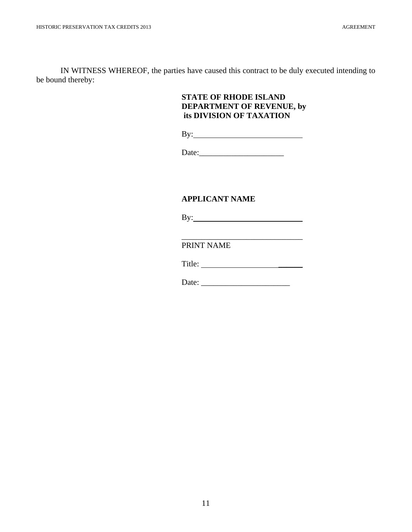IN WITNESS WHEREOF, the parties have caused this contract to be duly executed intending to be bound thereby:

# **STATE OF RHODE ISLAND DEPARTMENT OF REVENUE, by its DIVISION OF TAXATION**

By:

## **APPLICANT NAME**

By:

PRINT NAME

Title: \_\_\_\_\_\_

 $\_$ 

Date: \_\_\_\_\_\_\_\_\_\_\_\_\_\_\_\_\_\_\_\_\_\_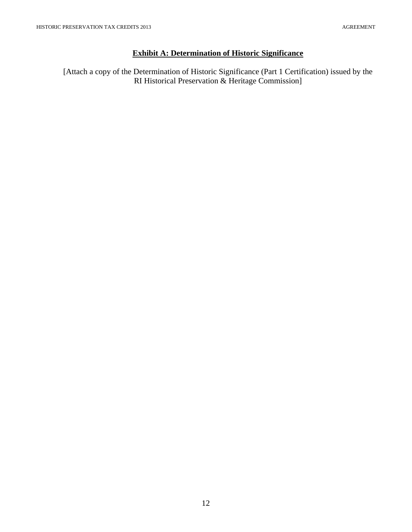# **Exhibit A: Determination of Historic Significance**

[Attach a copy of the Determination of Historic Significance (Part 1 Certification) issued by the RI Historical Preservation & Heritage Commission]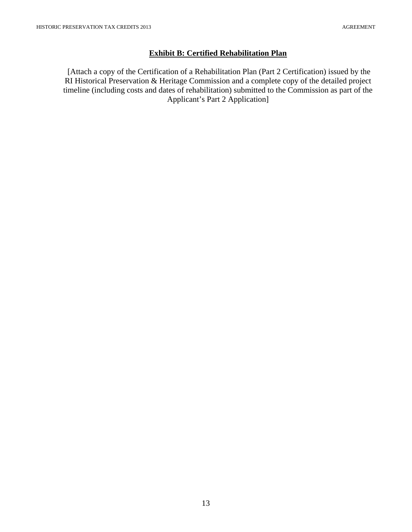## **Exhibit B: Certified Rehabilitation Plan**

 [Attach a copy of the Certification of a Rehabilitation Plan (Part 2 Certification) issued by the RI Historical Preservation & Heritage Commission and a complete copy of the detailed project timeline (including costs and dates of rehabilitation) submitted to the Commission as part of the Applicant's Part 2 Application]